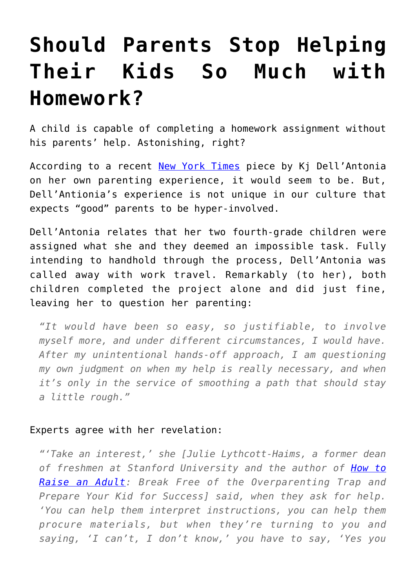## **[Should Parents Stop Helping](https://intellectualtakeout.org/2016/03/should-parents-stop-helping-their-kids-so-much-with-homework/) [Their Kids So Much with](https://intellectualtakeout.org/2016/03/should-parents-stop-helping-their-kids-so-much-with-homework/) [Homework?](https://intellectualtakeout.org/2016/03/should-parents-stop-helping-their-kids-so-much-with-homework/)**

A child is capable of completing a homework assignment without his parents' help. Astonishing, right?

According to a recent [New York Times](http://well.blogs.nytimes.com/2016/03/22/fourth-grade-book-report-let-your-fourth-grader-do-it/) piece by Kj Dell'Antonia on her own parenting experience, it would seem to be. But, Dell'Antionia's experience is not unique in our culture that expects "good" parents to be hyper-involved.

Dell'Antonia relates that her two fourth-grade children were assigned what she and they deemed an impossible task. Fully intending to handhold through the process, Dell'Antonia was called away with work travel. Remarkably (to her), both children completed the project alone and did just fine, leaving her to question her parenting:

*"It would have been so easy, so justifiable, to involve myself more, and under different circumstances, I would have. After my unintentional hands-off approach, I am questioning my own judgment on when my help is really necessary, and when it's only in the service of smoothing a path that should stay a little rough."*

## Experts agree with her revelation:

*"'Take an interest,' she [Julie Lythcott-Haims, a former dean of freshmen at Stanford University and the author of [How to](http://www.howtoraiseanadult.com/) [Raise an Adult](http://www.howtoraiseanadult.com/): Break Free of the Overparenting Trap and Prepare Your Kid for Success] said, when they ask for help. 'You can help them interpret instructions, you can help them procure materials, but when they're turning to you and saying, 'I can't, I don't know,' you have to say, 'Yes you*